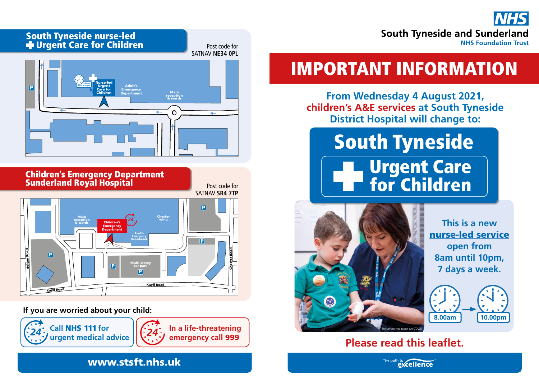

## South Tyneside nurse-led Urgent Care for Children





**If you are worried about your child:**



**In a life-threatening** 

Post code for SATNAV **NE34 0PL**

# IMPORTANT INFORMATION

**From Wednesday 4 August 2021, children's A&E services at South Tyneside District Hospital will change to:**

## South Tyneside Urgent Care for Children



**This is a new**  nurse-led service **open from 8am until 10pm, 7 days a week.**



## **Please read this leaflet.**

#### www.stsft.nhs.uk